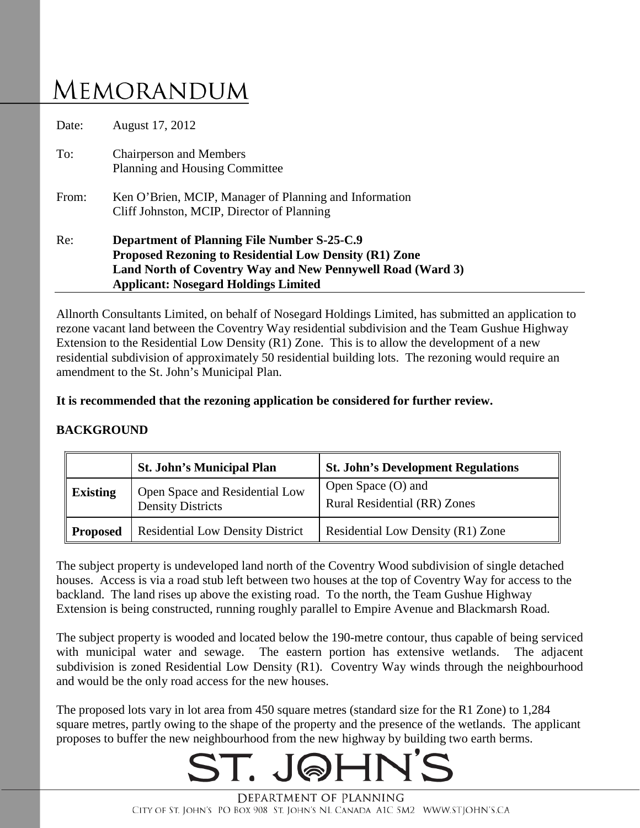# **MEMORANDUM**

|       | Land North of Coventry Way and New Pennywell Road (Ward 3)<br><b>Applicant: Nosegard Holdings Limited</b>           |  |
|-------|---------------------------------------------------------------------------------------------------------------------|--|
| Re:   | <b>Department of Planning File Number S-25-C.9</b><br><b>Proposed Rezoning to Residential Low Density (R1) Zone</b> |  |
| From: | Ken O'Brien, MCIP, Manager of Planning and Information<br>Cliff Johnston, MCIP, Director of Planning                |  |
| To:   | <b>Chairperson and Members</b><br>Planning and Housing Committee                                                    |  |
| Date: | August 17, 2012                                                                                                     |  |

Allnorth Consultants Limited, on behalf of Nosegard Holdings Limited, has submitted an application to rezone vacant land between the Coventry Way residential subdivision and the Team Gushue Highway Extension to the Residential Low Density (R1) Zone. This is to allow the development of a new residential subdivision of approximately 50 residential building lots. The rezoning would require an amendment to the St. John's Municipal Plan.

# **It is recommended that the rezoning application be considered for further review.**

# **BACKGROUND**

|                 | <b>St. John's Municipal Plan</b>                           | <b>St. John's Development Regulations</b>          |
|-----------------|------------------------------------------------------------|----------------------------------------------------|
| <b>Existing</b> | Open Space and Residential Low<br><b>Density Districts</b> | Open Space (O) and<br>Rural Residential (RR) Zones |
| Proposed        | <b>Residential Low Density District</b>                    | Residential Low Density (R1) Zone                  |

The subject property is undeveloped land north of the Coventry Wood subdivision of single detached houses. Access is via a road stub left between two houses at the top of Coventry Way for access to the backland. The land rises up above the existing road. To the north, the Team Gushue Highway Extension is being constructed, running roughly parallel to Empire Avenue and Blackmarsh Road.

The subject property is wooded and located below the 190-metre contour, thus capable of being serviced with municipal water and sewage. The eastern portion has extensive wetlands. The adjacent subdivision is zoned Residential Low Density (R1). Coventry Way winds through the neighbourhood and would be the only road access for the new houses.

The proposed lots vary in lot area from 450 square metres (standard size for the R1 Zone) to 1,284 square metres, partly owing to the shape of the property and the presence of the wetlands. The applicant proposes to buffer the new neighbourhood from the new highway by building two earth berms.

# $ST$  ,  $I$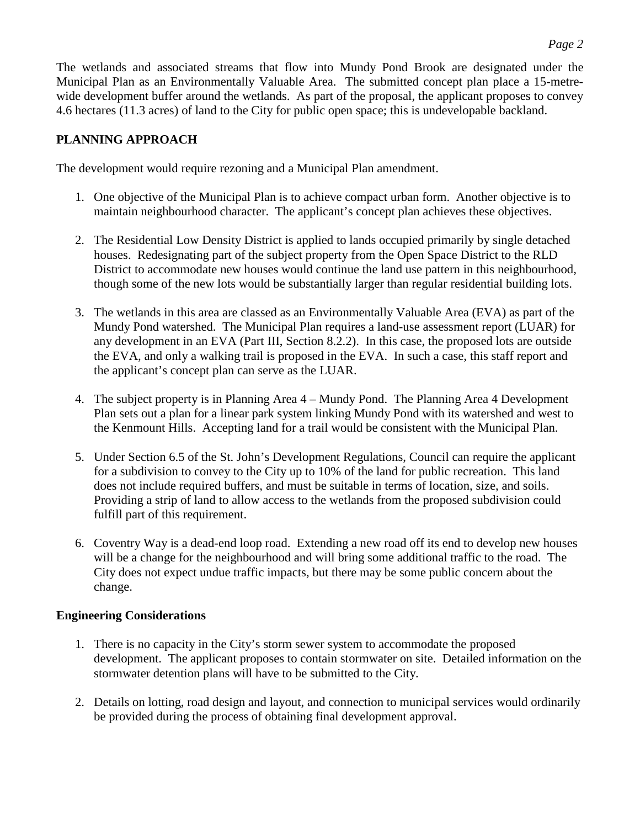The wetlands and associated streams that flow into Mundy Pond Brook are designated under the Municipal Plan as an Environmentally Valuable Area. The submitted concept plan place a 15-metrewide development buffer around the wetlands. As part of the proposal, the applicant proposes to convey 4.6 hectares (11.3 acres) of land to the City for public open space; this is undevelopable backland.

# **PLANNING APPROACH**

The development would require rezoning and a Municipal Plan amendment.

- 1. One objective of the Municipal Plan is to achieve compact urban form. Another objective is to maintain neighbourhood character. The applicant's concept plan achieves these objectives.
- 2. The Residential Low Density District is applied to lands occupied primarily by single detached houses. Redesignating part of the subject property from the Open Space District to the RLD District to accommodate new houses would continue the land use pattern in this neighbourhood, though some of the new lots would be substantially larger than regular residential building lots.
- 3. The wetlands in this area are classed as an Environmentally Valuable Area (EVA) as part of the Mundy Pond watershed. The Municipal Plan requires a land-use assessment report (LUAR) for any development in an EVA (Part III, Section 8.2.2). In this case, the proposed lots are outside the EVA, and only a walking trail is proposed in the EVA. In such a case, this staff report and the applicant's concept plan can serve as the LUAR.
- 4. The subject property is in Planning Area 4 Mundy Pond. The Planning Area 4 Development Plan sets out a plan for a linear park system linking Mundy Pond with its watershed and west to the Kenmount Hills. Accepting land for a trail would be consistent with the Municipal Plan.
- 5. Under Section 6.5 of the St. John's Development Regulations, Council can require the applicant for a subdivision to convey to the City up to 10% of the land for public recreation. This land does not include required buffers, and must be suitable in terms of location, size, and soils. Providing a strip of land to allow access to the wetlands from the proposed subdivision could fulfill part of this requirement.
- 6. Coventry Way is a dead-end loop road. Extending a new road off its end to develop new houses will be a change for the neighbourhood and will bring some additional traffic to the road. The City does not expect undue traffic impacts, but there may be some public concern about the change.

# **Engineering Considerations**

- 1. There is no capacity in the City's storm sewer system to accommodate the proposed development. The applicant proposes to contain stormwater on site. Detailed information on the stormwater detention plans will have to be submitted to the City.
- 2. Details on lotting, road design and layout, and connection to municipal services would ordinarily be provided during the process of obtaining final development approval.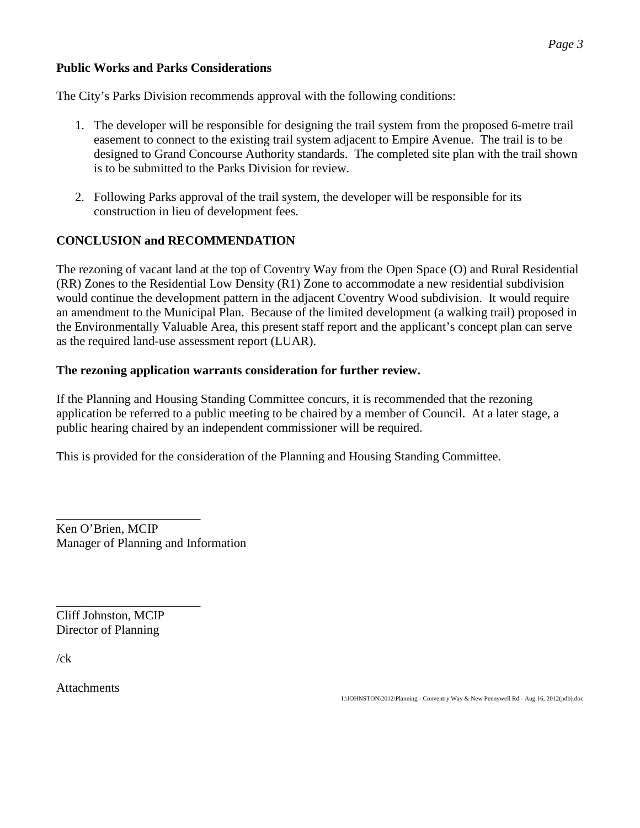#### **Public Works and Parks Considerations**

The City's Parks Division recommends approval with the following conditions:

- 1. The developer will be responsible for designing the trail system from the proposed 6-metre trail easement to connect to the existing trail system adjacent to Empire Avenue. The trail is to be designed to Grand Concourse Authority standards. The completed site plan with the trail shown is to be submitted to the Parks Division for review.
- 2. Following Parks approval of the trail system, the developer will be responsible for its construction in lieu of development fees.

# **CONCLUSION and RECOMMENDATION**

The rezoning of vacant land at the top of Coventry Way from the Open Space (O) and Rural Residential (RR) Zones to the Residential Low Density (R1) Zone to accommodate a new residential subdivision would continue the development pattern in the adjacent Coventry Wood subdivision. It would require an amendment to the Municipal Plan. Because of the limited development (a walking trail) proposed in the Environmentally Valuable Area, this present staff report and the applicant's concept plan can serve as the required land-use assessment report (LUAR).

#### **The rezoning application warrants consideration for further review.**

If the Planning and Housing Standing Committee concurs, it is recommended that the rezoning application be referred to a public meeting to be chaired by a member of Council. At a later stage, a public hearing chaired by an independent commissioner will be required.

This is provided for the consideration of the Planning and Housing Standing Committee.

\_\_\_\_\_\_\_\_\_\_\_\_\_\_\_\_\_\_\_\_\_\_\_ Ken O'Brien, MCIP Manager of Planning and Information

\_\_\_\_\_\_\_\_\_\_\_\_\_\_\_\_\_\_\_\_\_\_\_ Cliff Johnston, MCIP Director of Planning

 $/ck$ 

**Attachments** 

I:\JOHNSTON\2012\Planning - Conventry Way & New Pennywell Rd - Aug 16, 2012(pdb).doc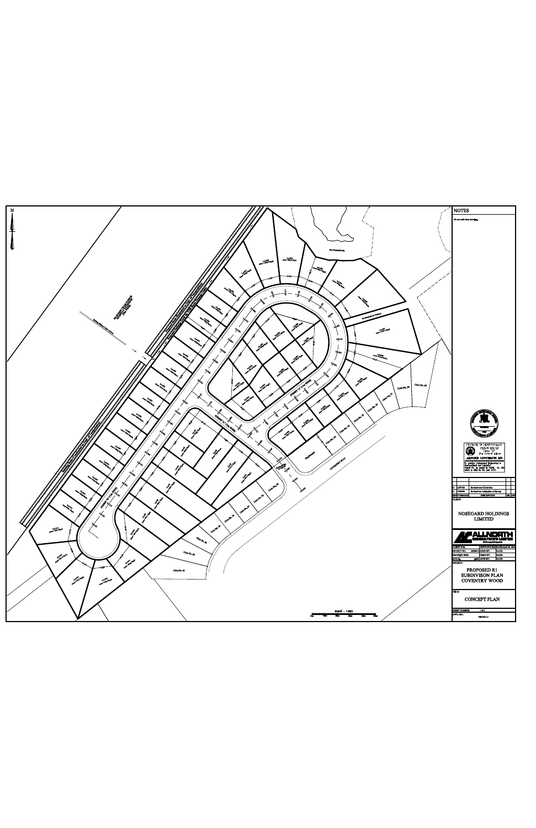

|   | SCALE: 1.500                          | CONTRACT AND INVESTIGATION<br>1 <sub>0</sub> |
|---|---------------------------------------|----------------------------------------------|
| w | 30m<br>--<br>- 40<br>20m<br>50m<br>-- | DWG.NO.<br>12810013-1                        |
|   |                                       |                                              |